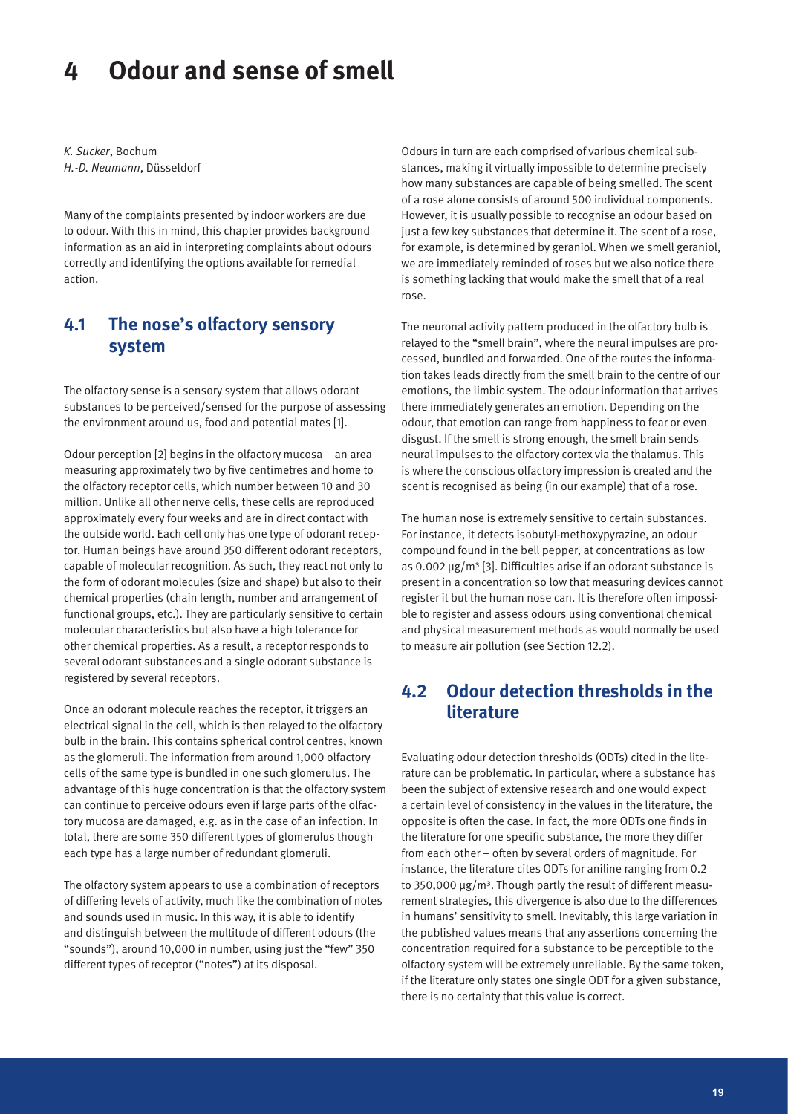# **4 Odour and sense of smell**

*K. Sucker*, Bochum *H.-D. Neumann*, Düsseldorf

Many of the complaints presented by indoor workers are due to odour. With this in mind, this chapter provides background information as an aid in interpreting complaints about odours correctly and identifying the options available for remedial action.

#### **4.1 The nose's olfactory sensory system**

The olfactory sense is a sensory system that allows odorant substances to be perceived/sensed for the purpose of assessing the environment around us, food and potential mates [1].

Odour perception [2] begins in the olfactory mucosa – an area measuring approximately two by five centimetres and home to the olfactory receptor cells, which number between 10 and 30 million. Unlike all other nerve cells, these cells are reproduced approximately every four weeks and are in direct contact with the outside world. Each cell only has one type of odorant receptor. Human beings have around 350 different odorant receptors, capable of molecular recognition. As such, they react not only to the form of odorant molecules (size and shape) but also to their chemical properties (chain length, number and arrangement of functional groups, etc.). They are particularly sensitive to certain molecular characteristics but also have a high tolerance for other chemical properties. As a result, a receptor responds to several odorant substances and a single odorant substance is registered by several receptors.

Once an odorant molecule reaches the receptor, it triggers an electrical signal in the cell, which is then relayed to the olfactory bulb in the brain. This contains spherical control centres, known as the glomeruli. The information from around 1,000 olfactory cells of the same type is bundled in one such glomerulus. The advantage of this huge concentration is that the olfactory system can continue to perceive odours even if large parts of the olfactory mucosa are damaged, e.g. as in the case of an infection. In total, there are some 350 different types of glomerulus though each type has a large number of redundant glomeruli.

The olfactory system appears to use a combination of receptors of differing levels of activity, much like the combination of notes and sounds used in music. In this way, it is able to identify and distinguish between the multitude of different odours (the "sounds"), around 10,000 in number, using just the "few" 350 different types of receptor ("notes") at its disposal.

Odours in turn are each comprised of various chemical substances, making it virtually impossible to determine precisely how many substances are capable of being smelled. The scent of a rose alone consists of around 500 individual components. However, it is usually possible to recognise an odour based on just a few key substances that determine it. The scent of a rose, for example, is determined by geraniol. When we smell geraniol, we are immediately reminded of roses but we also notice there is something lacking that would make the smell that of a real rose.

The neuronal activity pattern produced in the olfactory bulb is relayed to the "smell brain", where the neural impulses are processed, bundled and forwarded. One of the routes the information takes leads directly from the smell brain to the centre of our emotions, the limbic system. The odour information that arrives there immediately generates an emotion. Depending on the odour, that emotion can range from happiness to fear or even disgust. If the smell is strong enough, the smell brain sends neural impulses to the olfactory cortex via the thalamus. This is where the conscious olfactory impression is created and the scent is recognised as being (in our example) that of a rose.

The human nose is extremely sensitive to certain substances. For instance, it detects isobutyl-methoxypyrazine, an odour compound found in the bell pepper, at concentrations as low as  $0.002 \,\mu g/m^3$  [3]. Difficulties arise if an odorant substance is present in a concentration so low that measuring devices cannot register it but the human nose can. It is therefore often impossible to register and assess odours using conventional chemical and physical measurement methods as would normally be used to measure air pollution (see Section 12.2).

# **4.2 Odour detection thresholds in the literature**

Evaluating odour detection thresholds (ODTs) cited in the literature can be problematic. In particular, where a substance has been the subject of extensive research and one would expect a certain level of consistency in the values in the literature, the opposite is often the case. In fact, the more ODTs one finds in the literature for one specific substance, the more they differ from each other – often by several orders of magnitude. For instance, the literature cites ODTs for aniline ranging from 0.2 to 350,000  $\mu$ g/m<sup>3</sup>. Though partly the result of different measurement strategies, this divergence is also due to the differences in humans' sensitivity to smell. Inevitably, this large variation in the published values means that any assertions concerning the concentration required for a substance to be perceptible to the olfactory system will be extremely unreliable. By the same token, if the literature only states one single ODT for a given substance, there is no certainty that this value is correct.